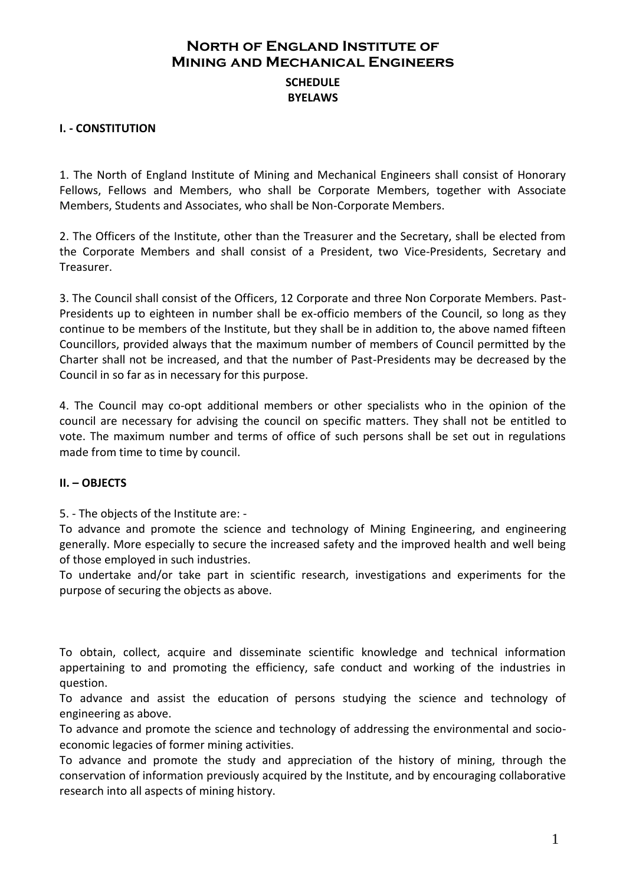### **North of England Institute of Mining and Mechanical Engineers SCHEDULE BYELAWS**

### **I. - CONSTITUTION**

1. The North of England Institute of Mining and Mechanical Engineers shall consist of Honorary Fellows, Fellows and Members, who shall be Corporate Members, together with Associate Members, Students and Associates, who shall be Non-Corporate Members.

2. The Officers of the Institute, other than the Treasurer and the Secretary, shall be elected from the Corporate Members and shall consist of a President, two Vice-Presidents, Secretary and Treasurer.

3. The Council shall consist of the Officers, 12 Corporate and three Non Corporate Members. Past-Presidents up to eighteen in number shall be ex-officio members of the Council, so long as they continue to be members of the Institute, but they shall be in addition to, the above named fifteen Councillors, provided always that the maximum number of members of Council permitted by the Charter shall not be increased, and that the number of Past-Presidents may be decreased by the Council in so far as in necessary for this purpose.

4. The Council may co-opt additional members or other specialists who in the opinion of the council are necessary for advising the council on specific matters. They shall not be entitled to vote. The maximum number and terms of office of such persons shall be set out in regulations made from time to time by council.

#### **II. – OBJECTS**

5. - The objects of the Institute are: -

To advance and promote the science and technology of Mining Engineering, and engineering generally. More especially to secure the increased safety and the improved health and well being of those employed in such industries.

To undertake and/or take part in scientific research, investigations and experiments for the purpose of securing the objects as above.

To obtain, collect, acquire and disseminate scientific knowledge and technical information appertaining to and promoting the efficiency, safe conduct and working of the industries in question.

To advance and assist the education of persons studying the science and technology of engineering as above.

To advance and promote the science and technology of addressing the environmental and socioeconomic legacies of former mining activities.

To advance and promote the study and appreciation of the history of mining, through the conservation of information previously acquired by the Institute, and by encouraging collaborative research into all aspects of mining history.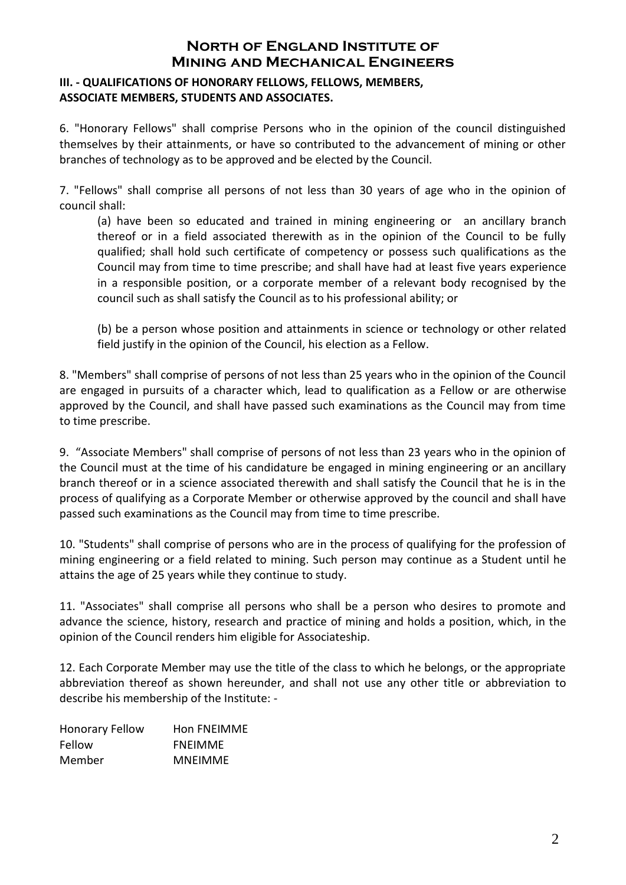### **III. - QUALIFICATIONS OF HONORARY FELLOWS, FELLOWS, MEMBERS, ASSOCIATE MEMBERS, STUDENTS AND ASSOCIATES.**

6. "Honorary Fellows" shall comprise Persons who in the opinion of the council distinguished themselves by their attainments, or have so contributed to the advancement of mining or other branches of technology as to be approved and be elected by the Council.

7. "Fellows" shall comprise all persons of not less than 30 years of age who in the opinion of council shall:

(a) have been so educated and trained in mining engineering or an ancillary branch thereof or in a field associated therewith as in the opinion of the Council to be fully qualified; shall hold such certificate of competency or possess such qualifications as the Council may from time to time prescribe; and shall have had at least five years experience in a responsible position, or a corporate member of a relevant body recognised by the council such as shall satisfy the Council as to his professional ability; or

(b) be a person whose position and attainments in science or technology or other related field justify in the opinion of the Council, his election as a Fellow.

8. "Members" shall comprise of persons of not less than 25 years who in the opinion of the Council are engaged in pursuits of a character which, lead to qualification as a Fellow or are otherwise approved by the Council, and shall have passed such examinations as the Council may from time to time prescribe.

9. "Associate Members" shall comprise of persons of not less than 23 years who in the opinion of the Council must at the time of his candidature be engaged in mining engineering or an ancillary branch thereof or in a science associated therewith and shall satisfy the Council that he is in the process of qualifying as a Corporate Member or otherwise approved by the council and shall have passed such examinations as the Council may from time to time prescribe.

10. "Students" shall comprise of persons who are in the process of qualifying for the profession of mining engineering or a field related to mining. Such person may continue as a Student until he attains the age of 25 years while they continue to study.

11. "Associates" shall comprise all persons who shall be a person who desires to promote and advance the science, history, research and practice of mining and holds a position, which, in the opinion of the Council renders him eligible for Associateship.

12. Each Corporate Member may use the title of the class to which he belongs, or the appropriate abbreviation thereof as shown hereunder, and shall not use any other title or abbreviation to describe his membership of the Institute: -

| <b>Honorary Fellow</b> | Hon FNEIMME    |
|------------------------|----------------|
| Fellow                 | <b>FNEIMME</b> |
| Member                 | <b>MNEIMME</b> |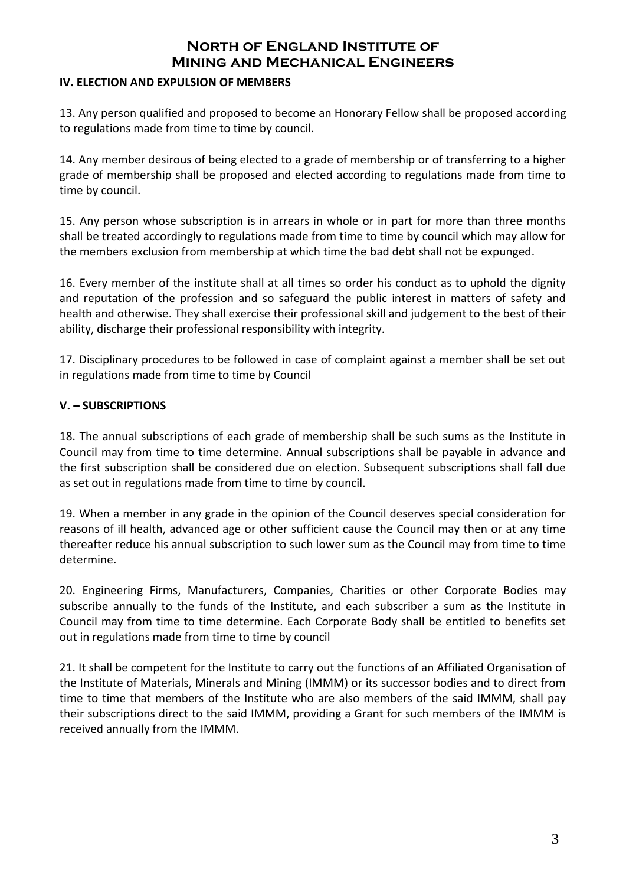### **IV. ELECTION AND EXPULSION OF MEMBERS**

13. Any person qualified and proposed to become an Honorary Fellow shall be proposed according to regulations made from time to time by council.

14. Any member desirous of being elected to a grade of membership or of transferring to a higher grade of membership shall be proposed and elected according to regulations made from time to time by council.

15. Any person whose subscription is in arrears in whole or in part for more than three months shall be treated accordingly to regulations made from time to time by council which may allow for the members exclusion from membership at which time the bad debt shall not be expunged.

16. Every member of the institute shall at all times so order his conduct as to uphold the dignity and reputation of the profession and so safeguard the public interest in matters of safety and health and otherwise. They shall exercise their professional skill and judgement to the best of their ability, discharge their professional responsibility with integrity.

17. Disciplinary procedures to be followed in case of complaint against a member shall be set out in regulations made from time to time by Council

### **V. – SUBSCRIPTIONS**

18. The annual subscriptions of each grade of membership shall be such sums as the Institute in Council may from time to time determine. Annual subscriptions shall be payable in advance and the first subscription shall be considered due on election. Subsequent subscriptions shall fall due as set out in regulations made from time to time by council.

19. When a member in any grade in the opinion of the Council deserves special consideration for reasons of ill health, advanced age or other sufficient cause the Council may then or at any time thereafter reduce his annual subscription to such lower sum as the Council may from time to time determine.

20. Engineering Firms, Manufacturers, Companies, Charities or other Corporate Bodies may subscribe annually to the funds of the Institute, and each subscriber a sum as the Institute in Council may from time to time determine. Each Corporate Body shall be entitled to benefits set out in regulations made from time to time by council

21. It shall be competent for the Institute to carry out the functions of an Affiliated Organisation of the Institute of Materials, Minerals and Mining (IMMM) or its successor bodies and to direct from time to time that members of the Institute who are also members of the said IMMM, shall pay their subscriptions direct to the said IMMM, providing a Grant for such members of the IMMM is received annually from the IMMM.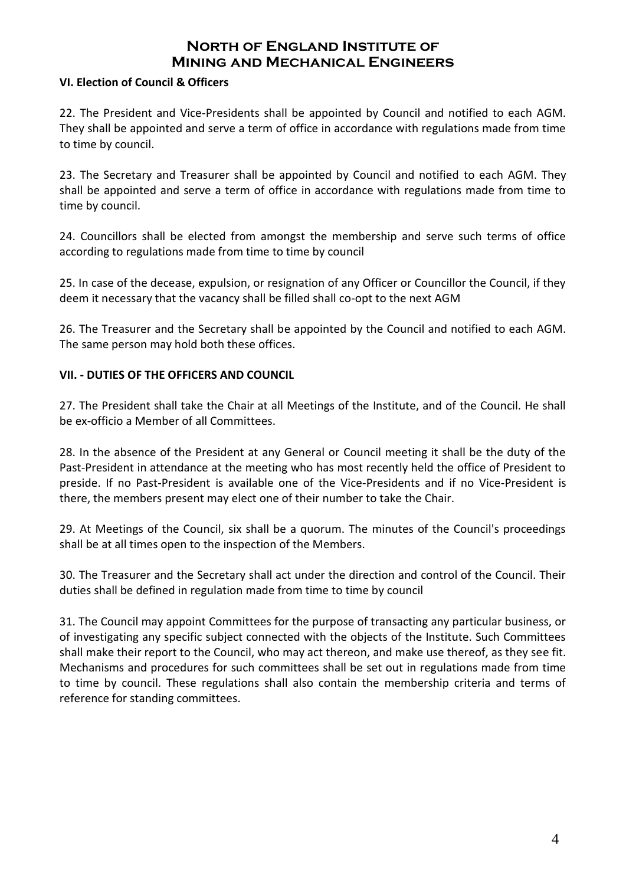#### **VI. Election of Council & Officers**

22. The President and Vice-Presidents shall be appointed by Council and notified to each AGM. They shall be appointed and serve a term of office in accordance with regulations made from time to time by council.

23. The Secretary and Treasurer shall be appointed by Council and notified to each AGM. They shall be appointed and serve a term of office in accordance with regulations made from time to time by council.

24. Councillors shall be elected from amongst the membership and serve such terms of office according to regulations made from time to time by council

25. In case of the decease, expulsion, or resignation of any Officer or Councillor the Council, if they deem it necessary that the vacancy shall be filled shall co-opt to the next AGM

26. The Treasurer and the Secretary shall be appointed by the Council and notified to each AGM. The same person may hold both these offices.

### **VII. - DUTIES OF THE OFFICERS AND COUNCIL**

27. The President shall take the Chair at all Meetings of the Institute, and of the Council. He shall be ex-officio a Member of all Committees.

28. In the absence of the President at any General or Council meeting it shall be the duty of the Past-President in attendance at the meeting who has most recently held the office of President to preside. If no Past-President is available one of the Vice-Presidents and if no Vice-President is there, the members present may elect one of their number to take the Chair.

29. At Meetings of the Council, six shall be a quorum. The minutes of the Council's proceedings shall be at all times open to the inspection of the Members.

30. The Treasurer and the Secretary shall act under the direction and control of the Council. Their duties shall be defined in regulation made from time to time by council

31. The Council may appoint Committees for the purpose of transacting any particular business, or of investigating any specific subject connected with the objects of the Institute. Such Committees shall make their report to the Council, who may act thereon, and make use thereof, as they see fit. Mechanisms and procedures for such committees shall be set out in regulations made from time to time by council. These regulations shall also contain the membership criteria and terms of reference for standing committees.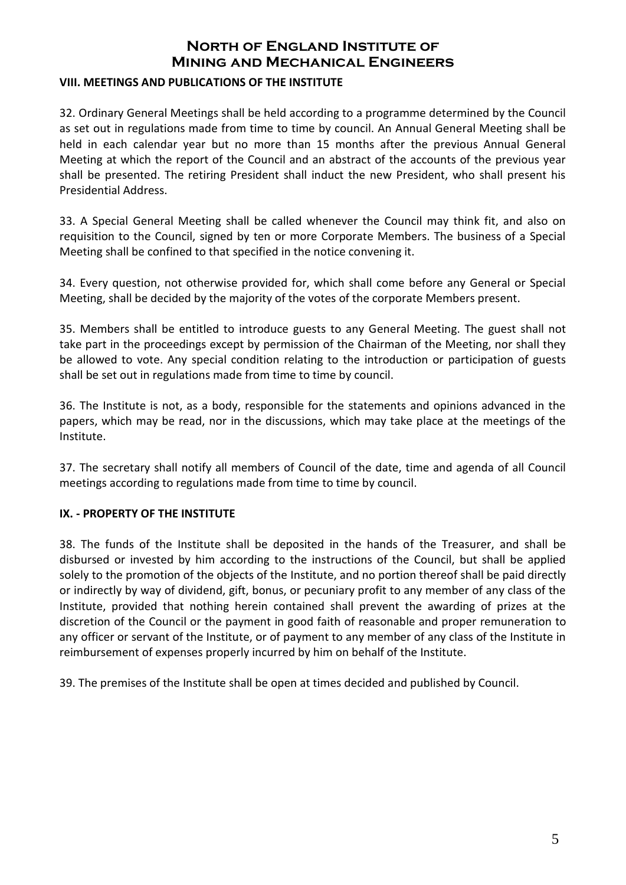#### **VIII. MEETINGS AND PUBLICATIONS OF THE INSTITUTE**

32. Ordinary General Meetings shall be held according to a programme determined by the Council as set out in regulations made from time to time by council. An Annual General Meeting shall be held in each calendar year but no more than 15 months after the previous Annual General Meeting at which the report of the Council and an abstract of the accounts of the previous year shall be presented. The retiring President shall induct the new President, who shall present his Presidential Address.

33. A Special General Meeting shall be called whenever the Council may think fit, and also on requisition to the Council, signed by ten or more Corporate Members. The business of a Special Meeting shall be confined to that specified in the notice convening it.

34. Every question, not otherwise provided for, which shall come before any General or Special Meeting, shall be decided by the majority of the votes of the corporate Members present.

35. Members shall be entitled to introduce guests to any General Meeting. The guest shall not take part in the proceedings except by permission of the Chairman of the Meeting, nor shall they be allowed to vote. Any special condition relating to the introduction or participation of guests shall be set out in regulations made from time to time by council.

36. The Institute is not, as a body, responsible for the statements and opinions advanced in the papers, which may be read, nor in the discussions, which may take place at the meetings of the Institute.

37. The secretary shall notify all members of Council of the date, time and agenda of all Council meetings according to regulations made from time to time by council.

### **IX. - PROPERTY OF THE INSTITUTE**

38. The funds of the Institute shall be deposited in the hands of the Treasurer, and shall be disbursed or invested by him according to the instructions of the Council, but shall be applied solely to the promotion of the objects of the Institute, and no portion thereof shall be paid directly or indirectly by way of dividend, gift, bonus, or pecuniary profit to any member of any class of the Institute, provided that nothing herein contained shall prevent the awarding of prizes at the discretion of the Council or the payment in good faith of reasonable and proper remuneration to any officer or servant of the Institute, or of payment to any member of any class of the Institute in reimbursement of expenses properly incurred by him on behalf of the Institute.

39. The premises of the Institute shall be open at times decided and published by Council.